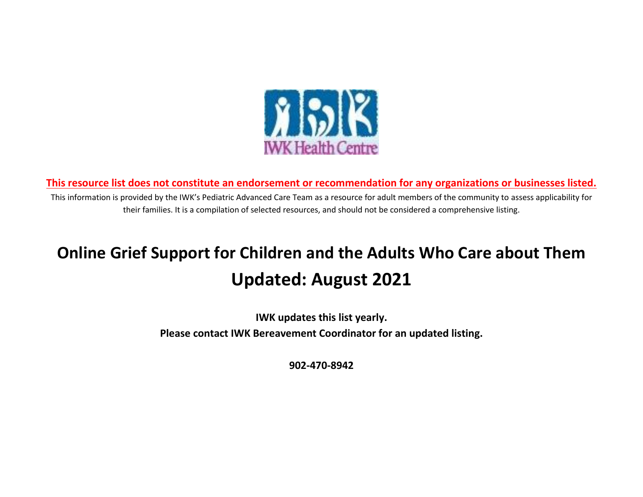

**This resource list does not constitute an endorsement or recommendation for any organizations or businesses listed.**

This information is provided by the IWK's Pediatric Advanced Care Team as a resource for adult members of the community to assess applicability for their families. It is a compilation of selected resources, and should not be considered a comprehensive listing.

## **Online Grief Support for Children and the Adults Who Care about Them Updated: August 2021**

**IWK updates this list yearly. Please contact IWK Bereavement Coordinator for an updated listing.**

**902-470-8942**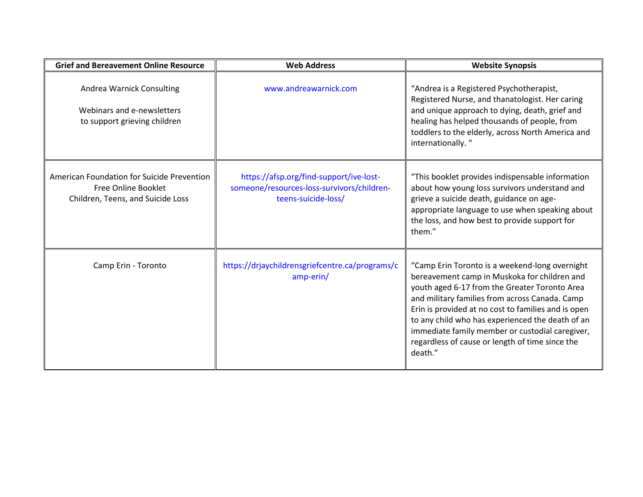| <b>Grief and Bereavement Online Resource</b>                                                           | <b>Web Address</b>                                                                                           | <b>Website Synopsis</b>                                                                                                                                                                                                                                                                                                                                                                                                       |
|--------------------------------------------------------------------------------------------------------|--------------------------------------------------------------------------------------------------------------|-------------------------------------------------------------------------------------------------------------------------------------------------------------------------------------------------------------------------------------------------------------------------------------------------------------------------------------------------------------------------------------------------------------------------------|
| Andrea Warnick Consulting<br>Webinars and e-newsletters<br>to support grieving children                | www.andreawarnick.com                                                                                        | "Andrea is a Registered Psychotherapist,<br>Registered Nurse, and thanatologist. Her caring<br>and unique approach to dying, death, grief and<br>healing has helped thousands of people, from<br>toddlers to the elderly, across North America and<br>internationally."                                                                                                                                                       |
| American Foundation for Suicide Prevention<br>Free Online Booklet<br>Children, Teens, and Suicide Loss | https://afsp.org/find-support/ive-lost-<br>someone/resources-loss-survivors/children-<br>teens-suicide-loss/ | "This booklet provides indispensable information<br>about how young loss survivors understand and<br>grieve a suicide death, guidance on age-<br>appropriate language to use when speaking about<br>the loss, and how best to provide support for<br>them."                                                                                                                                                                   |
| Camp Erin - Toronto                                                                                    | https://drjaychildrensgriefcentre.ca/programs/c<br>amp-erin/                                                 | "Camp Erin Toronto is a weekend-long overnight<br>bereavement camp in Muskoka for children and<br>youth aged 6-17 from the Greater Toronto Area<br>and military families from across Canada. Camp<br>Erin is provided at no cost to families and is open<br>to any child who has experienced the death of an<br>immediate family member or custodial caregiver,<br>regardless of cause or length of time since the<br>death." |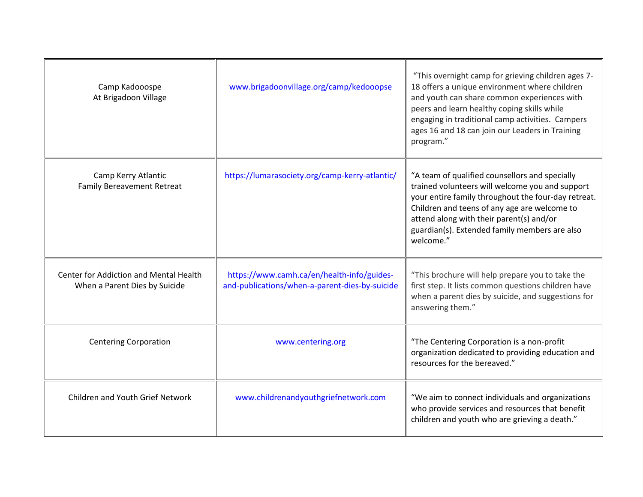| Camp Kadooospe<br>At Brigadoon Village                                  | www.brigadoonvillage.org/camp/kedooopse                                                      | "This overnight camp for grieving children ages 7-<br>18 offers a unique environment where children<br>and youth can share common experiences with<br>peers and learn healthy coping skills while<br>engaging in traditional camp activities. Campers<br>ages 16 and 18 can join our Leaders in Training<br>program." |
|-------------------------------------------------------------------------|----------------------------------------------------------------------------------------------|-----------------------------------------------------------------------------------------------------------------------------------------------------------------------------------------------------------------------------------------------------------------------------------------------------------------------|
| Camp Kerry Atlantic<br><b>Family Bereavement Retreat</b>                | https://lumarasociety.org/camp-kerry-atlantic/                                               | "A team of qualified counsellors and specially<br>trained volunteers will welcome you and support<br>your entire family throughout the four-day retreat.<br>Children and teens of any age are welcome to<br>attend along with their parent(s) and/or<br>guardian(s). Extended family members are also<br>welcome."    |
| Center for Addiction and Mental Health<br>When a Parent Dies by Suicide | https://www.camh.ca/en/health-info/guides-<br>and-publications/when-a-parent-dies-by-suicide | "This brochure will help prepare you to take the<br>first step. It lists common questions children have<br>when a parent dies by suicide, and suggestions for<br>answering them."                                                                                                                                     |
| <b>Centering Corporation</b>                                            | www.centering.org                                                                            | "The Centering Corporation is a non-profit<br>organization dedicated to providing education and<br>resources for the bereaved."                                                                                                                                                                                       |
| <b>Children and Youth Grief Network</b>                                 | www.childrenandyouthgriefnetwork.com                                                         | "We aim to connect individuals and organizations<br>who provide services and resources that benefit<br>children and youth who are grieving a death."                                                                                                                                                                  |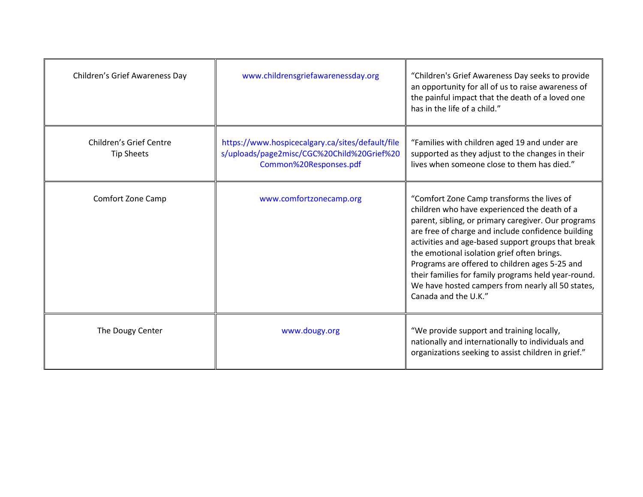| Children's Grief Awareness Day                      | www.childrensgriefawarenessday.org                                                                                       | "Children's Grief Awareness Day seeks to provide<br>an opportunity for all of us to raise awareness of<br>the painful impact that the death of a loved one<br>has in the life of a child."                                                                                                                                                                                                                                                                                                         |
|-----------------------------------------------------|--------------------------------------------------------------------------------------------------------------------------|----------------------------------------------------------------------------------------------------------------------------------------------------------------------------------------------------------------------------------------------------------------------------------------------------------------------------------------------------------------------------------------------------------------------------------------------------------------------------------------------------|
| <b>Children's Grief Centre</b><br><b>Tip Sheets</b> | https://www.hospicecalgary.ca/sites/default/file<br>s/uploads/page2misc/CGC%20Child%20Grief%20<br>Common%20Responses.pdf | "Families with children aged 19 and under are<br>supported as they adjust to the changes in their<br>lives when someone close to them has died."                                                                                                                                                                                                                                                                                                                                                   |
| <b>Comfort Zone Camp</b>                            | www.comfortzonecamp.org                                                                                                  | "Comfort Zone Camp transforms the lives of<br>children who have experienced the death of a<br>parent, sibling, or primary caregiver. Our programs<br>are free of charge and include confidence building<br>activities and age-based support groups that break<br>the emotional isolation grief often brings.<br>Programs are offered to children ages 5-25 and<br>their families for family programs held year-round.<br>We have hosted campers from nearly all 50 states,<br>Canada and the U.K." |
| The Dougy Center                                    | www.dougy.org                                                                                                            | "We provide support and training locally,<br>nationally and internationally to individuals and<br>organizations seeking to assist children in grief."                                                                                                                                                                                                                                                                                                                                              |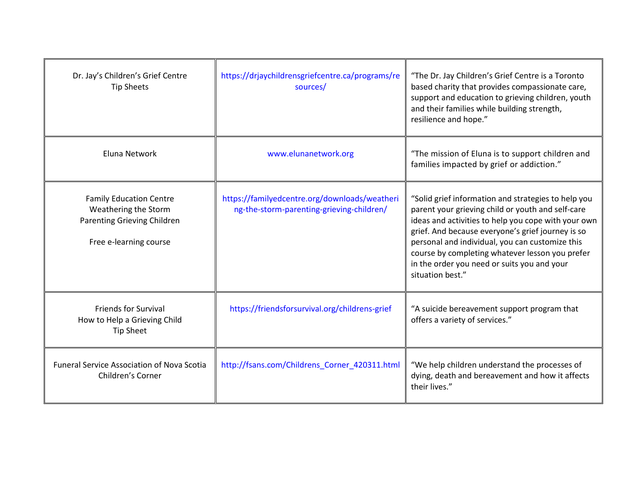| Dr. Jay's Children's Grief Centre<br><b>Tip Sheets</b>                                                                 | https://drjaychildrensgriefcentre.ca/programs/re<br>sources/                               | "The Dr. Jay Children's Grief Centre is a Toronto<br>based charity that provides compassionate care,<br>support and education to grieving children, youth<br>and their families while building strength,<br>resilience and hope."                                                                                                                                                             |
|------------------------------------------------------------------------------------------------------------------------|--------------------------------------------------------------------------------------------|-----------------------------------------------------------------------------------------------------------------------------------------------------------------------------------------------------------------------------------------------------------------------------------------------------------------------------------------------------------------------------------------------|
| Eluna Network                                                                                                          | www.elunanetwork.org                                                                       | "The mission of Eluna is to support children and<br>families impacted by grief or addiction."                                                                                                                                                                                                                                                                                                 |
| <b>Family Education Centre</b><br>Weathering the Storm<br><b>Parenting Grieving Children</b><br>Free e-learning course | https://familyedcentre.org/downloads/weatheri<br>ng-the-storm-parenting-grieving-children/ | "Solid grief information and strategies to help you<br>parent your grieving child or youth and self-care<br>ideas and activities to help you cope with your own<br>grief. And because everyone's grief journey is so<br>personal and individual, you can customize this<br>course by completing whatever lesson you prefer<br>in the order you need or suits you and your<br>situation best." |
| <b>Friends for Survival</b><br>How to Help a Grieving Child<br><b>Tip Sheet</b>                                        | https://friendsforsurvival.org/childrens-grief                                             | "A suicide bereavement support program that<br>offers a variety of services."                                                                                                                                                                                                                                                                                                                 |
| <b>Funeral Service Association of Nova Scotia</b><br>Children's Corner                                                 | http://fsans.com/Childrens Corner 420311.html                                              | "We help children understand the processes of<br>dying, death and bereavement and how it affects<br>their lives."                                                                                                                                                                                                                                                                             |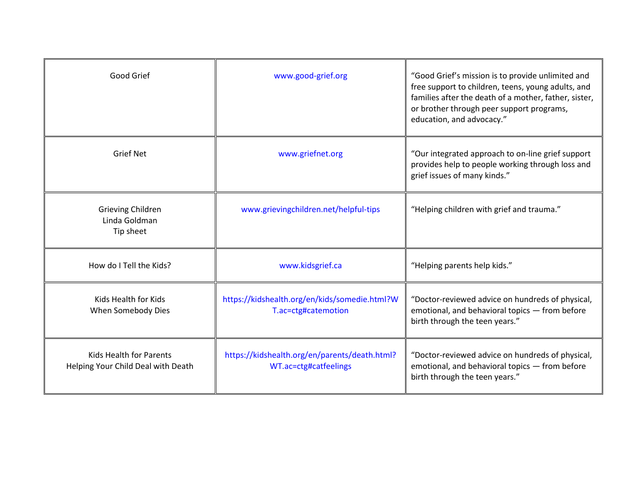| Good Grief                                                    | www.good-grief.org                                                     | "Good Grief's mission is to provide unlimited and<br>free support to children, teens, young adults, and<br>families after the death of a mother, father, sister,<br>or brother through peer support programs,<br>education, and advocacy." |
|---------------------------------------------------------------|------------------------------------------------------------------------|--------------------------------------------------------------------------------------------------------------------------------------------------------------------------------------------------------------------------------------------|
| <b>Grief Net</b>                                              | www.griefnet.org                                                       | "Our integrated approach to on-line grief support<br>provides help to people working through loss and<br>grief issues of many kinds."                                                                                                      |
| Grieving Children<br>Linda Goldman<br>Tip sheet               | www.grievingchildren.net/helpful-tips                                  | "Helping children with grief and trauma."                                                                                                                                                                                                  |
| How do I Tell the Kids?                                       | www.kidsgrief.ca                                                       | "Helping parents help kids."                                                                                                                                                                                                               |
| Kids Health for Kids<br>When Somebody Dies                    | https://kidshealth.org/en/kids/somedie.html?W<br>T.ac=ctg#catemotion   | "Doctor-reviewed advice on hundreds of physical,<br>emotional, and behavioral topics - from before<br>birth through the teen years."                                                                                                       |
| Kids Health for Parents<br>Helping Your Child Deal with Death | https://kidshealth.org/en/parents/death.html?<br>WT.ac=ctg#catfeelings | "Doctor-reviewed advice on hundreds of physical,<br>emotional, and behavioral topics - from before<br>birth through the teen years."                                                                                                       |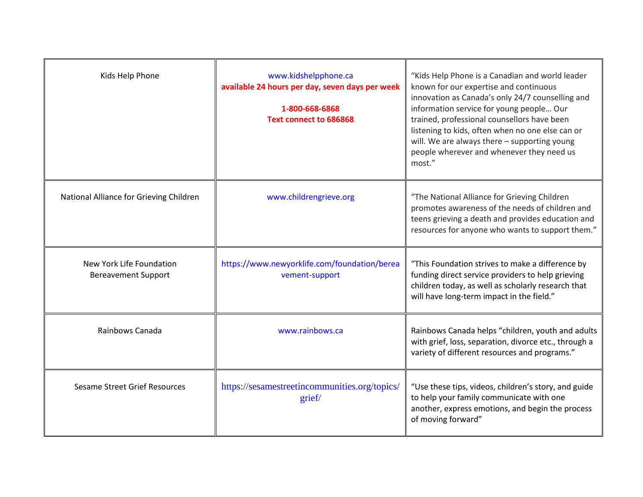| Kids Help Phone                                        | www.kidshelpphone.ca<br>available 24 hours per day, seven days per week<br>1-800-668-6868<br><b>Text connect to 686868</b> | "Kids Help Phone is a Canadian and world leader<br>known for our expertise and continuous<br>innovation as Canada's only 24/7 counselling and<br>information service for young people Our<br>trained, professional counsellors have been<br>listening to kids, often when no one else can or<br>will. We are always there - supporting young<br>people wherever and whenever they need us<br>most." |
|--------------------------------------------------------|----------------------------------------------------------------------------------------------------------------------------|-----------------------------------------------------------------------------------------------------------------------------------------------------------------------------------------------------------------------------------------------------------------------------------------------------------------------------------------------------------------------------------------------------|
| National Alliance for Grieving Children                | www.childrengrieve.org                                                                                                     | "The National Alliance for Grieving Children<br>promotes awareness of the needs of children and<br>teens grieving a death and provides education and<br>resources for anyone who wants to support them."                                                                                                                                                                                            |
| New York Life Foundation<br><b>Bereavement Support</b> | https://www.newyorklife.com/foundation/berea<br>vement-support                                                             | "This Foundation strives to make a difference by<br>funding direct service providers to help grieving<br>children today, as well as scholarly research that<br>will have long-term impact in the field."                                                                                                                                                                                            |
| Rainbows Canada                                        | www.rainbows.ca                                                                                                            | Rainbows Canada helps "children, youth and adults<br>with grief, loss, separation, divorce etc., through a<br>variety of different resources and programs."                                                                                                                                                                                                                                         |
| <b>Sesame Street Grief Resources</b>                   | https://sesamestreetincommunities.org/topics/<br>grief/                                                                    | "Use these tips, videos, children's story, and guide<br>to help your family communicate with one<br>another, express emotions, and begin the process<br>of moving forward"                                                                                                                                                                                                                          |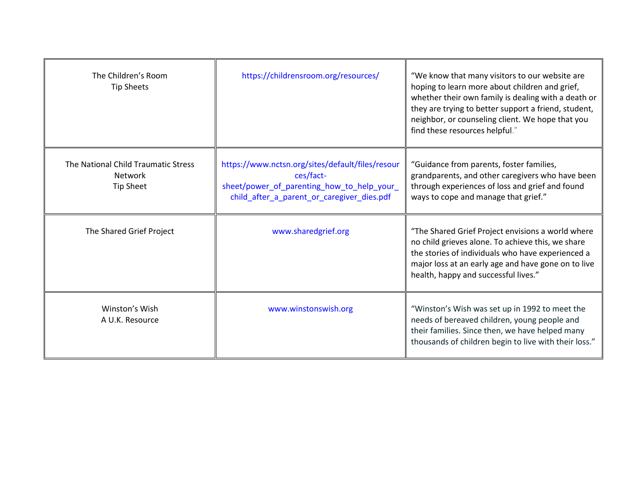| The Children's Room<br><b>Tip Sheets</b>                           | https://childrensroom.org/resources/                                                                                                                      | "We know that many visitors to our website are<br>hoping to learn more about children and grief,<br>whether their own family is dealing with a death or<br>they are trying to better support a friend, student,<br>neighbor, or counseling client. We hope that you<br>find these resources helpful." |
|--------------------------------------------------------------------|-----------------------------------------------------------------------------------------------------------------------------------------------------------|-------------------------------------------------------------------------------------------------------------------------------------------------------------------------------------------------------------------------------------------------------------------------------------------------------|
| The National Child Traumatic Stress<br>Network<br><b>Tip Sheet</b> | https://www.nctsn.org/sites/default/files/resour<br>ces/fact-<br>sheet/power_of_parenting_how_to_help_your_<br>child_after_a_parent_or_caregiver_dies.pdf | "Guidance from parents, foster families,<br>grandparents, and other caregivers who have been<br>through experiences of loss and grief and found<br>ways to cope and manage that grief."                                                                                                               |
| The Shared Grief Project                                           | www.sharedgrief.org                                                                                                                                       | "The Shared Grief Project envisions a world where<br>no child grieves alone. To achieve this, we share<br>the stories of individuals who have experienced a<br>major loss at an early age and have gone on to live<br>health, happy and successful lives."                                            |
| Winston's Wish<br>A U.K. Resource                                  | www.winstonswish.org                                                                                                                                      | "Winston's Wish was set up in 1992 to meet the<br>needs of bereaved children, young people and<br>their families. Since then, we have helped many<br>thousands of children begin to live with their loss."                                                                                            |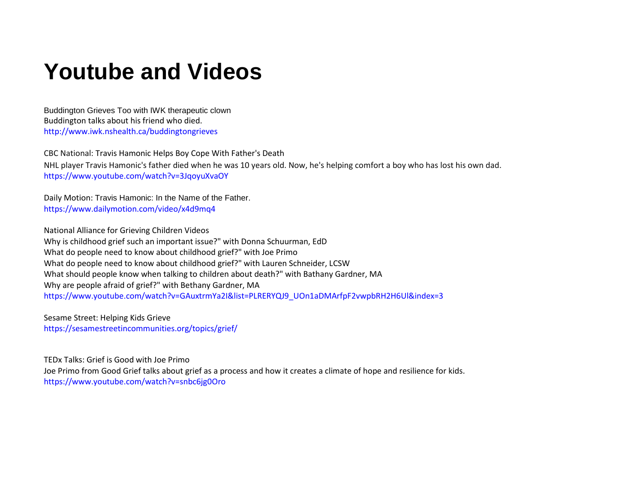## **Youtube and Videos**

Buddington Grieves Too with IWK therapeutic clown Buddington talks about his friend who died. <http://www.iwk.nshealth.ca/buddingtongrieves>

CBC National: Travis Hamonic Helps Boy Cope With Father's Death NHL player Travis Hamonic's father died when he was 10 years old. Now, he's helping comfort a boy who has lost his own dad. <https://www.youtube.com/watch?v=3JqoyuXvaOY>

Daily Motion: Travis Hamonic: In the Name of the Father. <https://www.dailymotion.com/video/x4d9mq4>

National Alliance for Grieving Children Videos Why is childhood grief such an important issue?" with Donna Schuurman, EdD What do people need to know about childhood grief?" with Joe Primo What do people need to know about childhood grief?" with Lauren Schneider, LCSW What should people know when talking to children about death?" with Bathany Gardner, MA Why are people afraid of grief?" with Bethany Gardner, MA [https://www.youtube.com/watch?v=GAuxtrmYa2I&list=PLRERYQJ9\\_UOn1aDMArfpF2vwpbRH2H6Ul&index=3](https://www.youtube.com/watch?v=GAuxtrmYa2I&list=PLRERYQJ9_UOn1aDMArfpF2vwpbRH2H6Ul&index=3)

Sesame Street: Helping Kids Grieve <https://sesamestreetincommunities.org/topics/grief/>

TEDx Talks: Grief is Good with Joe Primo Joe Primo from Good Grief talks about grief as a process and how it creates a climate of hope and resilience for kids. <https://www.youtube.com/watch?v=snbc6jg0Oro>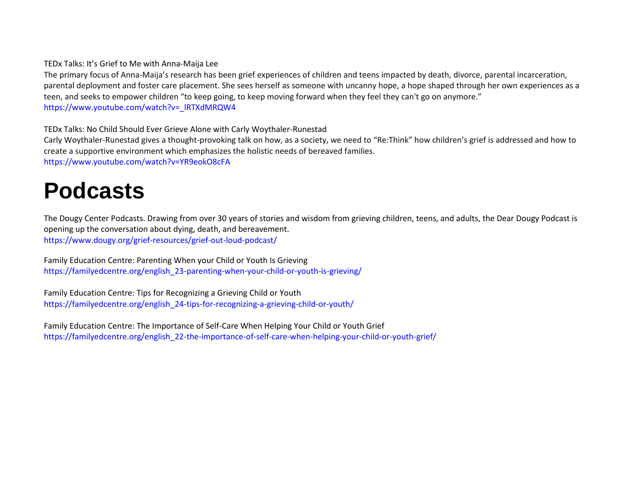TEDx Talks: It's Grief to Me with Anna-Maija Lee

The primary focus of Anna-Maija's research has been grief experiences of children and teens impacted by death, divorce, parental incarceration, parental deployment and foster care placement. She sees herself as someone with uncanny hope, a hope shaped through her own experiences as a teen, and seeks to empower children "to keep going, to keep moving forward when they feel they can't go on anymore." [https://www.youtube.com/watch?v=\\_lRTXdMRQW4](https://www.youtube.com/watch?v=_lRTXdMRQW4)

TEDx Talks: No Child Should Ever Grieve Alone with Carly Woythaler-Runestad

Carly Woythaler-Runestad gives a thought-provoking talk on how, as a society, we need to "Re:Think" how children's grief is addressed and how to create a supportive environment which emphasizes the holistic needs of bereaved families. <https://www.youtube.com/watch?v=YR9eokO8cFA>

## **Podcasts**

The Dougy Center Podcasts. Drawing from over 30 years of stories and wisdom from grieving children, teens, and adults, the Dear Dougy Podcast is opening up the conversation about dying, death, and bereavement. <https://www.dougy.org/grief-resources/grief-out-loud-podcast/>

Family Education Centre: Parenting When your Child or Youth Is Grieving [https://familyedcentre.org/english\\_23-parenting-when-your-child-or-youth-is-grieving/](https://familyedcentre.org/english_23-parenting-when-your-child-or-youth-is-grieving/)

Family Education Centre: Tips for Recognizing a Grieving Child or Youth [https://familyedcentre.org/english\\_24-tips-for-recognizing-a-grieving-child-or-youth/](https://familyedcentre.org/english_24-tips-for-recognizing-a-grieving-child-or-youth/)

Family Education Centre: The Importance of Self-Care When Helping Your Child or Youth Grief [https://familyedcentre.org/english\\_22-the-importance-of-self-care-when-helping-your-child-or-youth-grief/](https://familyedcentre.org/english_22-the-importance-of-self-care-when-helping-your-child-or-youth-grief/)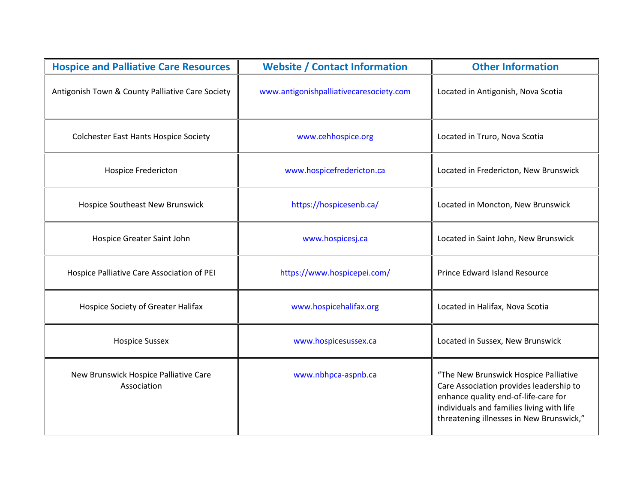| <b>Hospice and Palliative Care Resources</b>         | <b>Website / Contact Information</b>    | <b>Other Information</b>                                                                                                                                                                                          |
|------------------------------------------------------|-----------------------------------------|-------------------------------------------------------------------------------------------------------------------------------------------------------------------------------------------------------------------|
| Antigonish Town & County Palliative Care Society     | www.antigonishpalliativecaresociety.com | Located in Antigonish, Nova Scotia                                                                                                                                                                                |
| <b>Colchester East Hants Hospice Society</b>         | www.cehhospice.org                      | Located in Truro, Nova Scotia                                                                                                                                                                                     |
| <b>Hospice Fredericton</b>                           | www.hospicefredericton.ca               | Located in Fredericton, New Brunswick                                                                                                                                                                             |
| Hospice Southeast New Brunswick                      | https://hospicesenb.ca/                 | Located in Moncton, New Brunswick                                                                                                                                                                                 |
| Hospice Greater Saint John                           | www.hospicesj.ca                        | Located in Saint John, New Brunswick                                                                                                                                                                              |
| Hospice Palliative Care Association of PEI           | https://www.hospicepei.com/             | Prince Edward Island Resource                                                                                                                                                                                     |
| <b>Hospice Society of Greater Halifax</b>            | www.hospicehalifax.org                  | Located in Halifax, Nova Scotia                                                                                                                                                                                   |
| <b>Hospice Sussex</b>                                | www.hospicesussex.ca                    | Located in Sussex, New Brunswick                                                                                                                                                                                  |
| New Brunswick Hospice Palliative Care<br>Association | www.nbhpca-aspnb.ca                     | "The New Brunswick Hospice Palliative<br>Care Association provides leadership to<br>enhance quality end-of-life-care for<br>individuals and families living with life<br>threatening illnesses in New Brunswick," |